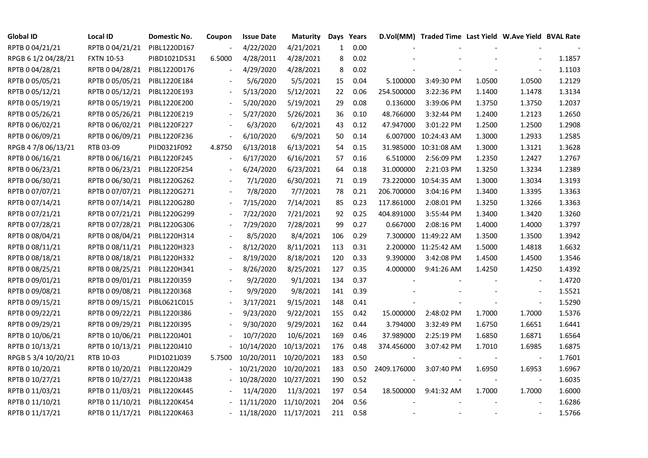| <b>Global ID</b>    | <b>Local ID</b>              | Domestic No. | Coupon                   | <b>Issue Date</b>     | <b>Maturity</b> |              | Days Years |             | D.Vol(MM) Traded Time Last Yield W.Ave Yield BVAL Rate |        |                          |        |
|---------------------|------------------------------|--------------|--------------------------|-----------------------|-----------------|--------------|------------|-------------|--------------------------------------------------------|--------|--------------------------|--------|
| RPTB 0 04/21/21     | RPTB 0 04/21/21              | PIBL1220D167 |                          | 4/22/2020             | 4/21/2021       | $\mathbf{1}$ | 0.00       |             |                                                        |        |                          |        |
| RPGB 6 1/2 04/28/21 | <b>FXTN 10-53</b>            | PIBD1021D531 | 6.5000                   | 4/28/2011             | 4/28/2021       | 8            | 0.02       |             |                                                        |        |                          | 1.1857 |
| RPTB 0 04/28/21     | RPTB 0 04/28/21              | PIBL1220D176 |                          | 4/29/2020             | 4/28/2021       | 8            | 0.02       |             |                                                        |        | $\overline{\phantom{a}}$ | 1.1103 |
| RPTB 0 05/05/21     | RPTB 0 05/05/21              | PIBL1220E184 |                          | 5/6/2020              | 5/5/2021        | 15           | 0.04       | 5.100000    | 3:49:30 PM                                             | 1.0500 | 1.0500                   | 1.2129 |
| RPTB 0 05/12/21     | RPTB 0 05/12/21              | PIBL1220E193 |                          | 5/13/2020             | 5/12/2021       | 22           | 0.06       | 254.500000  | 3:22:36 PM                                             | 1.1400 | 1.1478                   | 1.3134 |
| RPTB 0 05/19/21     | RPTB 0 05/19/21              | PIBL1220E200 |                          | 5/20/2020             | 5/19/2021       | 29           | 0.08       | 0.136000    | 3:39:06 PM                                             | 1.3750 | 1.3750                   | 1.2037 |
| RPTB 0 05/26/21     | RPTB 0 05/26/21              | PIBL1220E219 |                          | 5/27/2020             | 5/26/2021       | 36           | 0.10       | 48.766000   | 3:32:44 PM                                             | 1.2400 | 1.2123                   | 1.2650 |
| RPTB 0 06/02/21     | RPTB 0 06/02/21              | PIBL1220F227 |                          | 6/3/2020              | 6/2/2021        | 43           | 0.12       | 47.947000   | 3:01:22 PM                                             | 1.2500 | 1.2500                   | 1.2908 |
| RPTB 0 06/09/21     | RPTB 0 06/09/21              | PIBL1220F236 |                          | 6/10/2020             | 6/9/2021        | 50           | 0.14       | 6.007000    | 10:24:43 AM                                            | 1.3000 | 1.2933                   | 1.2585 |
| RPGB 4 7/8 06/13/21 | RTB 03-09                    | PIID0321F092 | 4.8750                   | 6/13/2018             | 6/13/2021       | 54           | 0.15       | 31.985000   | 10:31:08 AM                                            | 1.3000 | 1.3121                   | 1.3628 |
| RPTB 0 06/16/21     | RPTB 0 06/16/21              | PIBL1220F245 | $\overline{a}$           | 6/17/2020             | 6/16/2021       | 57           | 0.16       | 6.510000    | 2:56:09 PM                                             | 1.2350 | 1.2427                   | 1.2767 |
| RPTB 0 06/23/21     | RPTB 0 06/23/21              | PIBL1220F254 |                          | 6/24/2020             | 6/23/2021       | 64           | 0.18       | 31.000000   | 2:21:03 PM                                             | 1.3250 | 1.3234                   | 1.2389 |
| RPTB 0 06/30/21     | RPTB 0 06/30/21              | PIBL1220G262 |                          | 7/1/2020              | 6/30/2021       | 71           | 0.19       | 73.220000   | 10:54:35 AM                                            | 1.3000 | 1.3034                   | 1.3193 |
| RPTB 0 07/07/21     | RPTB 0 07/07/21              | PIBL1220G271 |                          | 7/8/2020              | 7/7/2021        | 78           | 0.21       | 206.700000  | 3:04:16 PM                                             | 1.3400 | 1.3395                   | 1.3363 |
| RPTB 0 07/14/21     | RPTB 0 07/14/21              | PIBL1220G280 |                          | 7/15/2020             | 7/14/2021       | 85           | 0.23       | 117.861000  | 2:08:01 PM                                             | 1.3250 | 1.3266                   | 1.3363 |
| RPTB 0 07/21/21     | RPTB 0 07/21/21              | PIBL1220G299 |                          | 7/22/2020             | 7/21/2021       | 92           | 0.25       | 404.891000  | 3:55:44 PM                                             | 1.3400 | 1.3420                   | 1.3260 |
| RPTB 0 07/28/21     | RPTB 0 07/28/21              | PIBL1220G306 |                          | 7/29/2020             | 7/28/2021       | 99           | 0.27       | 0.667000    | 2:08:16 PM                                             | 1.4000 | 1.4000                   | 1.3797 |
| RPTB 0 08/04/21     | RPTB 0 08/04/21              | PIBL1220H314 |                          | 8/5/2020              | 8/4/2021        | 106          | 0.29       |             | 7.300000 11:49:22 AM                                   | 1.3500 | 1.3500                   | 1.3942 |
| RPTB 0 08/11/21     | RPTB 0 08/11/21              | PIBL1220H323 |                          | 8/12/2020             | 8/11/2021       | 113          | 0.31       |             | 2.200000 11:25:42 AM                                   | 1.5000 | 1.4818                   | 1.6632 |
| RPTB 0 08/18/21     | RPTB 0 08/18/21              | PIBL1220H332 |                          | 8/19/2020             | 8/18/2021       | 120          | 0.33       | 9.390000    | 3:42:08 PM                                             | 1.4500 | 1.4500                   | 1.3546 |
| RPTB 0 08/25/21     | RPTB 0 08/25/21              | PIBL1220H341 |                          | 8/26/2020             | 8/25/2021       | 127          | 0.35       | 4.000000    | 9:41:26 AM                                             | 1.4250 | 1.4250                   | 1.4392 |
| RPTB 0 09/01/21     | RPTB 0 09/01/21              | PIBL1220I359 |                          | 9/2/2020              | 9/1/2021        | 134          | 0.37       |             |                                                        |        |                          | 1.4720 |
| RPTB 0 09/08/21     | RPTB 0 09/08/21              | PIBL1220I368 |                          | 9/9/2020              | 9/8/2021        | 141          | 0.39       |             |                                                        |        |                          | 1.5521 |
| RPTB 0 09/15/21     | RPTB 0 09/15/21              | PIBL0621C015 | $\overline{\phantom{a}}$ | 3/17/2021             | 9/15/2021       | 148          | 0.41       |             |                                                        |        | $\overline{\phantom{a}}$ | 1.5290 |
| RPTB 0 09/22/21     | RPTB 0 09/22/21              | PIBL1220I386 |                          | 9/23/2020             | 9/22/2021       | 155          | 0.42       | 15.000000   | 2:48:02 PM                                             | 1.7000 | 1.7000                   | 1.5376 |
| RPTB 0 09/29/21     | RPTB 0 09/29/21              | PIBL1220I395 |                          | 9/30/2020             | 9/29/2021       | 162          | 0.44       | 3.794000    | 3:32:49 PM                                             | 1.6750 | 1.6651                   | 1.6441 |
| RPTB 0 10/06/21     | RPTB 0 10/06/21              | PIBL1220J401 |                          | 10/7/2020             | 10/6/2021       | 169          | 0.46       | 37.989000   | 2:25:19 PM                                             | 1.6850 | 1.6871                   | 1.6564 |
| RPTB 0 10/13/21     | RPTB 0 10/13/21              | PIBL1220J410 |                          | 10/14/2020            | 10/13/2021      | 176          | 0.48       | 374.456000  | 3:07:42 PM                                             | 1.7010 | 1.6985                   | 1.6875 |
| RPGB 5 3/4 10/20/21 | RTB 10-03                    | PIID1021J039 | 5.7500                   | 10/20/2011            | 10/20/2021      | 183          | 0.50       |             |                                                        |        | $\overline{\phantom{a}}$ | 1.7601 |
| RPTB 0 10/20/21     | RPTB 0 10/20/21              | PIBL1220J429 |                          | 10/21/2020            | 10/20/2021      | 183          | 0.50       | 2409.176000 | 3:07:40 PM                                             | 1.6950 | 1.6953                   | 1.6967 |
| RPTB 0 10/27/21     | RPTB 0 10/27/21              | PIBL1220J438 |                          | 10/28/2020            | 10/27/2021      | 190          | 0.52       |             |                                                        |        | $\overline{\phantom{a}}$ | 1.6035 |
| RPTB 0 11/03/21     | RPTB 0 11/03/21              | PIBL1220K445 |                          | 11/4/2020             | 11/3/2021       | 197          | 0.54       | 18.500000   | 9:41:32 AM                                             | 1.7000 | 1.7000                   | 1.6000 |
| RPTB 0 11/10/21     | RPTB 0 11/10/21              | PIBL1220K454 |                          | 11/11/2020            | 11/10/2021      | 204          | 0.56       |             |                                                        |        |                          | 1.6286 |
| RPTB 0 11/17/21     | RPTB 0 11/17/21 PIBL1220K463 |              |                          | 11/18/2020 11/17/2021 |                 | 211          | 0.58       |             |                                                        |        |                          | 1.5766 |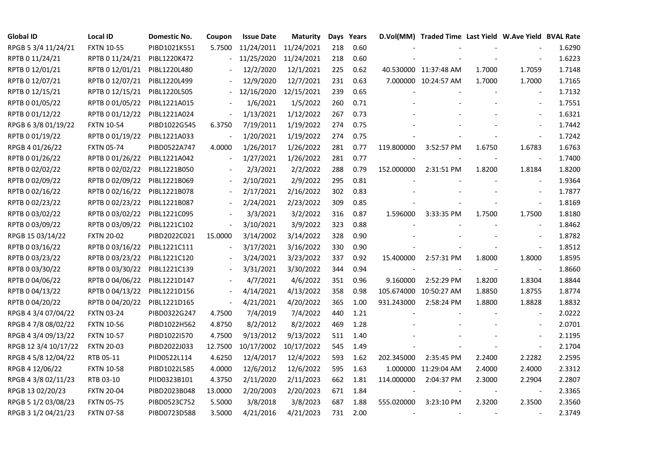| <b>Global ID</b>     | <b>Local ID</b>   | Domestic No. | Coupon         | <b>Issue Date</b>     | <b>Maturity</b> |     | Days Years |            | D.Vol(MM) Traded Time Last Yield W.Ave Yield BVAL Rate |        |                          |        |
|----------------------|-------------------|--------------|----------------|-----------------------|-----------------|-----|------------|------------|--------------------------------------------------------|--------|--------------------------|--------|
| RPGB 5 3/4 11/24/21  | <b>FXTN 10-55</b> | PIBD1021K551 | 5.7500         | 11/24/2011 11/24/2021 |                 | 218 | 0.60       |            |                                                        |        |                          | 1.6290 |
| RPTB 0 11/24/21      | RPTB 0 11/24/21   | PIBL1220K472 |                | 11/25/2020            | 11/24/2021      | 218 | 0.60       |            |                                                        |        |                          | 1.6223 |
| RPTB 0 12/01/21      | RPTB 0 12/01/21   | PIBL1220L480 |                | 12/2/2020             | 12/1/2021       | 225 | 0.62       |            | 40.530000 11:37:48 AM                                  | 1.7000 | 1.7059                   | 1.7148 |
| RPTB 0 12/07/21      | RPTB 0 12/07/21   | PIBL1220L499 |                | 12/9/2020             | 12/7/2021       | 231 | 0.63       |            | 7.000000 10:24:57 AM                                   | 1.7000 | 1.7000                   | 1.7165 |
| RPTB 0 12/15/21      | RPTB 0 12/15/21   | PIBL1220L505 | $\sim$         | 12/16/2020            | 12/15/2021      | 239 | 0.65       |            |                                                        |        |                          | 1.7132 |
| RPTB 0 01/05/22      | RPTB 0 01/05/22   | PIBL1221A015 |                | 1/6/2021              | 1/5/2022        | 260 | 0.71       |            |                                                        |        | $\blacksquare$           | 1.7551 |
| RPTB 0 01/12/22      | RPTB 0 01/12/22   | PIBL1221A024 | $\blacksquare$ | 1/13/2021             | 1/12/2022       | 267 | 0.73       |            |                                                        |        | $\blacksquare$           | 1.6321 |
| RPGB 63/8 01/19/22   | <b>FXTN 10-54</b> | PIBD1022G545 | 6.3750         | 7/19/2011             | 1/19/2022       | 274 | 0.75       |            |                                                        |        | $\overline{\phantom{a}}$ | 1.7442 |
| RPTB 0 01/19/22      | RPTB 0 01/19/22   | PIBL1221A033 |                | 1/20/2021             | 1/19/2022       | 274 | 0.75       |            |                                                        |        |                          | 1.7242 |
| RPGB 4 01/26/22      | <b>FXTN 05-74</b> | PIBD0522A747 | 4.0000         | 1/26/2017             | 1/26/2022       | 281 | 0.77       | 119.800000 | 3:52:57 PM                                             | 1.6750 | 1.6783                   | 1.6763 |
| RPTB 0 01/26/22      | RPTB 0 01/26/22   | PIBL1221A042 | $\blacksquare$ | 1/27/2021             | 1/26/2022       | 281 | 0.77       |            |                                                        |        | $\blacksquare$           | 1.7400 |
| RPTB 0 02/02/22      | RPTB 0 02/02/22   | PIBL1221B050 |                | 2/3/2021              | 2/2/2022        | 288 | 0.79       | 152.000000 | 2:31:51 PM                                             | 1.8200 | 1.8184                   | 1.8200 |
| RPTB 0 02/09/22      | RPTB 0 02/09/22   | PIBL1221B069 |                | 2/10/2021             | 2/9/2022        | 295 | 0.81       |            |                                                        |        | $\sim$                   | 1.9364 |
| RPTB 0 02/16/22      | RPTB 0 02/16/22   | PIBL1221B078 |                | 2/17/2021             | 2/16/2022       | 302 | 0.83       |            |                                                        |        | $\blacksquare$           | 1.7877 |
| RPTB 0 02/23/22      | RPTB 0 02/23/22   | PIBL1221B087 |                | 2/24/2021             | 2/23/2022       | 309 | 0.85       |            |                                                        |        | $\blacksquare$           | 1.8169 |
| RPTB 0 03/02/22      | RPTB 0 03/02/22   | PIBL1221C095 |                | 3/3/2021              | 3/2/2022        | 316 | 0.87       | 1.596000   | 3:33:35 PM                                             | 1.7500 | 1.7500                   | 1.8180 |
| RPTB 0 03/09/22      | RPTB 0 03/09/22   | PIBL1221C102 | $\blacksquare$ | 3/10/2021             | 3/9/2022        | 323 | 0.88       |            |                                                        |        |                          | 1.8462 |
| RPGB 15 03/14/22     | <b>FXTN 20-02</b> | PIBD2022C021 | 15.0000        | 3/14/2002             | 3/14/2022       | 328 | 0.90       |            |                                                        |        | $\overline{a}$           | 1.8782 |
| RPTB 0 03/16/22      | RPTB 0 03/16/22   | PIBL1221C111 | $\blacksquare$ | 3/17/2021             | 3/16/2022       | 330 | 0.90       |            |                                                        |        |                          | 1.8512 |
| RPTB 0 03/23/22      | RPTB 0 03/23/22   | PIBL1221C120 |                | 3/24/2021             | 3/23/2022       | 337 | 0.92       | 15.400000  | 2:57:31 PM                                             | 1.8000 | 1.8000                   | 1.8595 |
| RPTB 0 03/30/22      | RPTB 0 03/30/22   | PIBL1221C139 | $\blacksquare$ | 3/31/2021             | 3/30/2022       | 344 | 0.94       |            |                                                        |        | $\overline{\phantom{a}}$ | 1.8660 |
| RPTB 0 04/06/22      | RPTB 0 04/06/22   | PIBL1221D147 |                | 4/7/2021              | 4/6/2022        | 351 | 0.96       | 9.160000   | 2:52:29 PM                                             | 1.8200 | 1.8304                   | 1.8844 |
| RPTB 0 04/13/22      | RPTB 0 04/13/22   | PIBL1221D156 |                | 4/14/2021             | 4/13/2022       | 358 | 0.98       |            | 105.674000 10:50:27 AM                                 | 1.8850 | 1.8755                   | 1.8774 |
| RPTB 0 04/20/22      | RPTB 0 04/20/22   | PIBL1221D165 | $\blacksquare$ | 4/21/2021             | 4/20/2022       | 365 | 1.00       | 931.243000 | 2:58:24 PM                                             | 1.8800 | 1.8828                   | 1.8832 |
| RPGB 4 3/4 07/04/22  | <b>FXTN 03-24</b> | PIBD0322G247 | 4.7500         | 7/4/2019              | 7/4/2022        | 440 | 1.21       |            |                                                        |        | $\overline{\phantom{a}}$ | 2.0222 |
| RPGB 4 7/8 08/02/22  | <b>FXTN 10-56</b> | PIBD1022H562 | 4.8750         | 8/2/2012              | 8/2/2022        | 469 | 1.28       |            |                                                        |        |                          | 2.0701 |
| RPGB 4 3/4 09/13/22  | <b>FXTN 10-57</b> | PIBD1022I570 | 4.7500         | 9/13/2012             | 9/13/2022       | 511 | 1.40       |            |                                                        |        | $\sim$                   | 2.1195 |
| RPGB 12 3/4 10/17/22 | <b>FXTN 20-03</b> | PIBD2022J033 | 12.7500        | 10/17/2002            | 10/17/2022      | 545 | 1.49       |            |                                                        |        | $\blacksquare$           | 2.1704 |
| RPGB 4 5/8 12/04/22  | RTB 05-11         | PIID0522L114 | 4.6250         | 12/4/2017             | 12/4/2022       | 593 | 1.62       | 202.345000 | 2:35:45 PM                                             | 2.2400 | 2.2282                   | 2.2595 |
| RPGB 4 12/06/22      | <b>FXTN 10-58</b> | PIBD1022L585 | 4.0000         | 12/6/2012             | 12/6/2022       | 595 | 1.63       |            | 1.000000 11:29:04 AM                                   | 2.4000 | 2.4000                   | 2.3312 |
| RPGB 4 3/8 02/11/23  | RTB 03-10         | PIID0323B101 | 4.3750         | 2/11/2020             | 2/11/2023       | 662 | 1.81       | 114.000000 | 2:04:37 PM                                             | 2.3000 | 2.2904                   | 2.2807 |
| RPGB 13 02/20/23     | <b>FXTN 20-04</b> | PIBD2023B048 | 13.0000        | 2/20/2003             | 2/20/2023       | 671 | 1.84       |            |                                                        |        | $\overline{\phantom{a}}$ | 2.3365 |
| RPGB 5 1/2 03/08/23  | <b>FXTN 05-75</b> | PIBD0523C752 | 5.5000         | 3/8/2018              | 3/8/2023        | 687 | 1.88       | 555.020000 | 3:23:10 PM                                             | 2.3200 | 2.3500                   | 2.3560 |
| RPGB 3 1/2 04/21/23  | <b>FXTN 07-58</b> | PIBD0723D588 | 3.5000         | 4/21/2016             | 4/21/2023       | 731 | 2.00       |            |                                                        |        |                          | 2.3749 |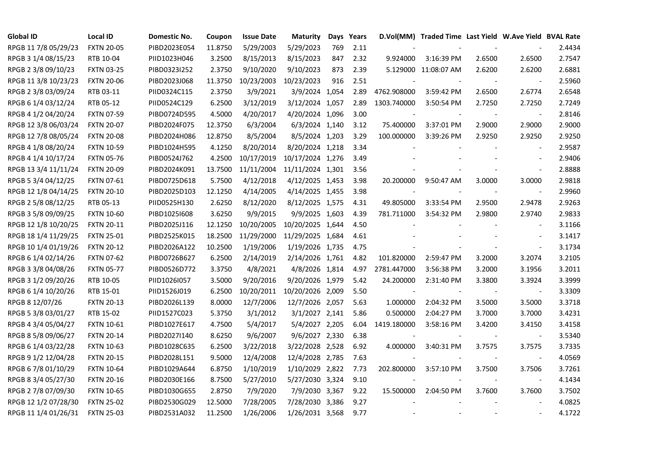| <b>Global ID</b>     | <b>Local ID</b>   | Domestic No. | Coupon  | <b>Issue Date</b> | <b>Maturity</b>  |     | Days Years |             | D.Vol(MM) Traded Time Last Yield W.Ave Yield BVAL Rate |                |                          |        |
|----------------------|-------------------|--------------|---------|-------------------|------------------|-----|------------|-------------|--------------------------------------------------------|----------------|--------------------------|--------|
| RPGB 11 7/8 05/29/23 | <b>FXTN 20-05</b> | PIBD2023E054 | 11.8750 | 5/29/2003         | 5/29/2023        | 769 | 2.11       |             |                                                        |                |                          | 2.4434 |
| RPGB 3 1/4 08/15/23  | RTB 10-04         | PIID1023H046 | 3.2500  | 8/15/2013         | 8/15/2023        | 847 | 2.32       | 9.924000    | 3:16:39 PM                                             | 2.6500         | 2.6500                   | 2.7547 |
| RPGB 2 3/8 09/10/23  | <b>FXTN 03-25</b> | PIBD0323I252 | 2.3750  | 9/10/2020         | 9/10/2023        | 873 | 2.39       |             | 5.129000 11:08:07 AM                                   | 2.6200         | 2.6200                   | 2.6881 |
| RPGB 11 3/8 10/23/23 | <b>FXTN 20-06</b> | PIBD2023J068 | 11.3750 | 10/23/2003        | 10/23/2023       | 916 | 2.51       |             |                                                        |                | $\overline{\phantom{a}}$ | 2.5960 |
| RPGB 2 3/8 03/09/24  | RTB 03-11         | PIID0324C115 | 2.3750  | 3/9/2021          | 3/9/2024 1,054   |     | 2.89       | 4762.908000 | 3:59:42 PM                                             | 2.6500         | 2.6774                   | 2.6548 |
| RPGB 6 1/4 03/12/24  | RTB 05-12         | PIID0524C129 | 6.2500  | 3/12/2019         | 3/12/2024 1,057  |     | 2.89       | 1303.740000 | 3:50:54 PM                                             | 2.7250         | 2.7250                   | 2.7249 |
| RPGB 4 1/2 04/20/24  | <b>FXTN 07-59</b> | PIBD0724D595 | 4.5000  | 4/20/2017         | 4/20/2024 1,096  |     | 3.00       | $\sim$      |                                                        |                | $\blacksquare$           | 2.8146 |
| RPGB 12 3/8 06/03/24 | <b>FXTN 20-07</b> | PIBD2024F075 | 12.3750 | 6/3/2004          | 6/3/2024 1,140   |     | 3.12       | 75.400000   | 3:37:01 PM                                             | 2.9000         | 2.9000                   | 2.9000 |
| RPGB 12 7/8 08/05/24 | <b>FXTN 20-08</b> | PIBD2024H086 | 12.8750 | 8/5/2004          | 8/5/2024 1,203   |     | 3.29       | 100.000000  | 3:39:26 PM                                             | 2.9250         | 2.9250                   | 2.9250 |
| RPGB 4 1/8 08/20/24  | <b>FXTN 10-59</b> | PIBD1024H595 | 4.1250  | 8/20/2014         | 8/20/2024 1,218  |     | 3.34       |             |                                                        |                | $\overline{\phantom{a}}$ | 2.9587 |
| RPGB 4 1/4 10/17/24  | <b>FXTN 05-76</b> | PIBD0524J762 | 4.2500  | 10/17/2019        | 10/17/2024 1,276 |     | 3.49       |             |                                                        |                | $\sim$                   | 2.9406 |
| RPGB 13 3/4 11/11/24 | <b>FXTN 20-09</b> | PIBD2024K091 | 13.7500 | 11/11/2004        | 11/11/2024 1,301 |     | 3.56       |             |                                                        |                | $\blacksquare$           | 2.8888 |
| RPGB 5 3/4 04/12/25  | <b>FXTN 07-61</b> | PIBD0725D618 | 5.7500  | 4/12/2018         | 4/12/2025 1,453  |     | 3.98       | 20.200000   | 9:50:47 AM                                             | 3.0000         | 3.0000                   | 2.9818 |
| RPGB 12 1/8 04/14/25 | <b>FXTN 20-10</b> | PIBD2025D103 | 12.1250 | 4/14/2005         | 4/14/2025 1,455  |     | 3.98       |             |                                                        |                | $\sim$                   | 2.9960 |
| RPGB 2 5/8 08/12/25  | RTB 05-13         | PIID0525H130 | 2.6250  | 8/12/2020         | 8/12/2025 1,575  |     | 4.31       | 49.805000   | 3:33:54 PM                                             | 2.9500         | 2.9478                   | 2.9263 |
| RPGB 3 5/8 09/09/25  | <b>FXTN 10-60</b> | PIBD10251608 | 3.6250  | 9/9/2015          | 9/9/2025 1,603   |     | 4.39       | 781.711000  | 3:54:32 PM                                             | 2.9800         | 2.9740                   | 2.9833 |
| RPGB 12 1/8 10/20/25 | <b>FXTN 20-11</b> | PIBD2025J116 | 12.1250 | 10/20/2005        | 10/20/2025 1,644 |     | 4.50       |             |                                                        |                | $\overline{\phantom{a}}$ | 3.1166 |
| RPGB 18 1/4 11/29/25 | <b>FXTN 25-01</b> | PIBD2525K015 | 18.2500 | 11/29/2000        | 11/29/2025 1,684 |     | 4.61       |             |                                                        |                | $\overline{\phantom{a}}$ | 3.1417 |
| RPGB 10 1/4 01/19/26 | <b>FXTN 20-12</b> | PIBD2026A122 | 10.2500 | 1/19/2006         | 1/19/2026 1,735  |     | 4.75       |             |                                                        |                | $\blacksquare$           | 3.1734 |
| RPGB 6 1/4 02/14/26  | <b>FXTN 07-62</b> | PIBD0726B627 | 6.2500  | 2/14/2019         | 2/14/2026 1,761  |     | 4.82       | 101.820000  | 2:59:47 PM                                             | 3.2000         | 3.2074                   | 3.2105 |
| RPGB 3 3/8 04/08/26  | <b>FXTN 05-77</b> | PIBD0526D772 | 3.3750  | 4/8/2021          | 4/8/2026 1,814   |     | 4.97       | 2781.447000 | 3:56:38 PM                                             | 3.2000         | 3.1956                   | 3.2011 |
| RPGB 3 1/2 09/20/26  | RTB 10-05         | PIID1026I057 | 3.5000  | 9/20/2016         | 9/20/2026 1,979  |     | 5.42       | 24.200000   | 2:31:40 PM                                             | 3.3800         | 3.3924                   | 3.3999 |
| RPGB 6 1/4 10/20/26  | RTB 15-01         | PIID1526J019 | 6.2500  | 10/20/2011        | 10/20/2026 2,009 |     | 5.50       |             |                                                        |                | $\blacksquare$           | 3.3309 |
| RPGB 8 12/07/26      | <b>FXTN 20-13</b> | PIBD2026L139 | 8.0000  | 12/7/2006         | 12/7/2026 2,057  |     | 5.63       | 1.000000    | 2:04:32 PM                                             | 3.5000         | 3.5000                   | 3.3718 |
| RPGB 5 3/8 03/01/27  | RTB 15-02         | PIID1527C023 | 5.3750  | 3/1/2012          | 3/1/2027 2,141   |     | 5.86       | 0.500000    | 2:04:27 PM                                             | 3.7000         | 3.7000                   | 3.4231 |
| RPGB 4 3/4 05/04/27  | <b>FXTN 10-61</b> | PIBD1027E617 | 4.7500  | 5/4/2017          | 5/4/2027 2,205   |     | 6.04       | 1419.180000 | 3:58:16 PM                                             | 3.4200         | 3.4150                   | 3.4158 |
| RPGB 8 5/8 09/06/27  | <b>FXTN 20-14</b> | PIBD2027I140 | 8.6250  | 9/6/2007          | 9/6/2027 2,330   |     | 6.38       |             |                                                        |                | $\blacksquare$           | 3.5340 |
| RPGB 6 1/4 03/22/28  | <b>FXTN 10-63</b> | PIBD1028C635 | 6.2500  | 3/22/2018         | 3/22/2028 2,528  |     | 6.92       | 4.000000    | 3:40:31 PM                                             | 3.7575         | 3.7575                   | 3.7335 |
| RPGB 9 1/2 12/04/28  | <b>FXTN 20-15</b> | PIBD2028L151 | 9.5000  | 12/4/2008         | 12/4/2028 2,785  |     | 7.63       |             |                                                        |                | $\blacksquare$           | 4.0569 |
| RPGB 67/8 01/10/29   | <b>FXTN 10-64</b> | PIBD1029A644 | 6.8750  | 1/10/2019         | 1/10/2029 2,822  |     | 7.73       | 202.800000  | 3:57:10 PM                                             | 3.7500         | 3.7506                   | 3.7261 |
| RPGB 8 3/4 05/27/30  | <b>FXTN 20-16</b> | PIBD2030E166 | 8.7500  | 5/27/2010         | 5/27/2030 3,324  |     | 9.10       |             |                                                        |                | $\blacksquare$           | 4.1434 |
| RPGB 2 7/8 07/09/30  | <b>FXTN 10-65</b> | PIBD1030G655 | 2.8750  | 7/9/2020          | 7/9/2030 3,367   |     | 9.22       | 15.500000   | 2:04:50 PM                                             | 3.7600         | 3.7600                   | 3.7502 |
| RPGB 12 1/2 07/28/30 | <b>FXTN 25-02</b> | PIBD2530G029 | 12.5000 | 7/28/2005         | 7/28/2030 3,386  |     | 9.27       |             |                                                        |                |                          | 4.0825 |
| RPGB 11 1/4 01/26/31 | <b>FXTN 25-03</b> | PIBD2531A032 | 11.2500 | 1/26/2006         | 1/26/2031 3,568  |     | 9.77       |             |                                                        | $\blacksquare$ | $\sim$                   | 4.1722 |